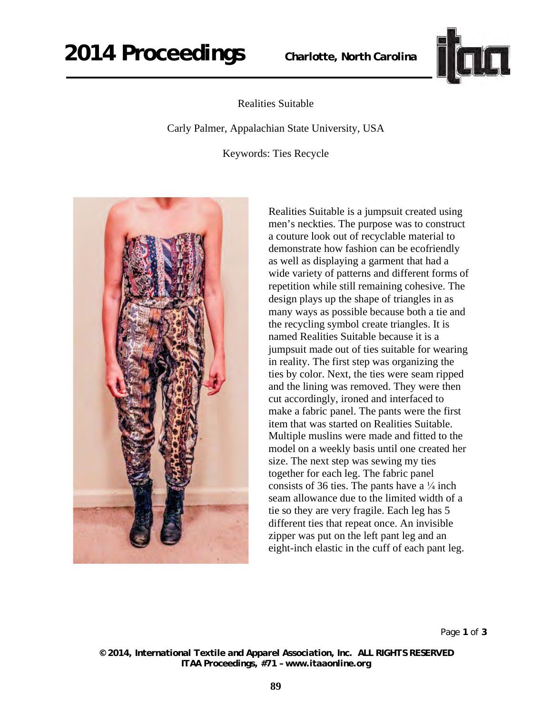

## Realities Suitable

Carly Palmer, Appalachian State University, USA

Keywords: Ties Recycle



Realities Suitable is a jumpsuit created using men's neckties. The purpose was to construct a couture look out of recyclable material to demonstrate how fashion can be ecofriendly as well as displaying a garment that had a wide variety of patterns and different forms of repetition while still remaining cohesive. The design plays up the shape of triangles in as many ways as possible because both a tie and the recycling symbol create triangles. It is named Realities Suitable because it is a jumpsuit made out of ties suitable for wearing in reality. The first step was organizing the ties by color. Next, the ties were seam ripped and the lining was removed. They were then cut accordingly, ironed and interfaced to make a fabric panel. The pants were the first item that was started on Realities Suitable. Multiple muslins were made and fitted to the model on a weekly basis until one created her size. The next step was sewing my ties together for each leg. The fabric panel consists of 36 ties. The pants have a  $\frac{1}{4}$  inch seam allowance due to the limited width of a tie so they are very fragile. Each leg has 5 different ties that repeat once. An invisible zipper was put on the left pant leg and an eight-inch elastic in the cuff of each pant leg.

Page **1** of **3** 

*© 2014, International Textile and Apparel Association, Inc. ALL RIGHTS RESERVED ITAA Proceedings, #71 – www.itaaonline.org*